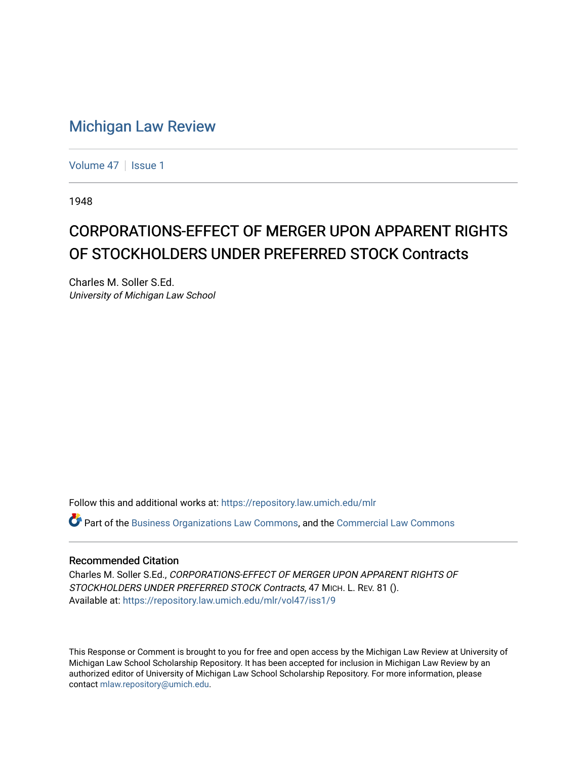## [Michigan Law Review](https://repository.law.umich.edu/mlr)

[Volume 47](https://repository.law.umich.edu/mlr/vol47) | [Issue 1](https://repository.law.umich.edu/mlr/vol47/iss1)

1948

# CORPORATIONS-EFFECT OF MERGER UPON APPARENT RIGHTS OF STOCKHOLDERS UNDER PREFERRED STOCK Contracts

Charles M. Soller S.Ed. University of Michigan Law School

Follow this and additional works at: [https://repository.law.umich.edu/mlr](https://repository.law.umich.edu/mlr?utm_source=repository.law.umich.edu%2Fmlr%2Fvol47%2Fiss1%2F9&utm_medium=PDF&utm_campaign=PDFCoverPages) 

 $\bullet$  Part of the [Business Organizations Law Commons](http://network.bepress.com/hgg/discipline/900?utm_source=repository.law.umich.edu%2Fmlr%2Fvol47%2Fiss1%2F9&utm_medium=PDF&utm_campaign=PDFCoverPages), and the Commercial Law Commons

### Recommended Citation

Charles M. Soller S.Ed., CORPORATIONS-EFFECT OF MERGER UPON APPARENT RIGHTS OF STOCKHOLDERS UNDER PREFERRED STOCK Contracts, 47 MICH. L. REV. 81 (). Available at: [https://repository.law.umich.edu/mlr/vol47/iss1/9](https://repository.law.umich.edu/mlr/vol47/iss1/9?utm_source=repository.law.umich.edu%2Fmlr%2Fvol47%2Fiss1%2F9&utm_medium=PDF&utm_campaign=PDFCoverPages)

This Response or Comment is brought to you for free and open access by the Michigan Law Review at University of Michigan Law School Scholarship Repository. It has been accepted for inclusion in Michigan Law Review by an authorized editor of University of Michigan Law School Scholarship Repository. For more information, please contact [mlaw.repository@umich.edu](mailto:mlaw.repository@umich.edu).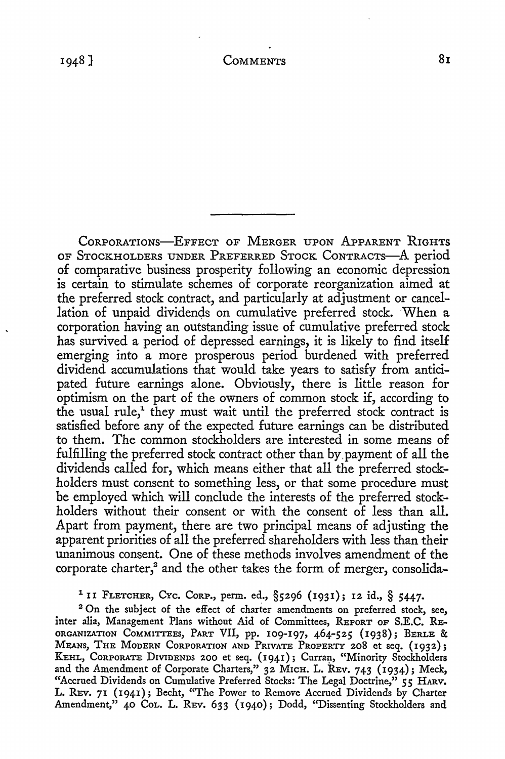CORPORATIONS-EFFECT OF MERGER UPON APPARENT RIGHTS OF STOCKHOLDERS UNDER PREFERRED STOCK CoNTRACTs-A period of comparative business prosperity following an economic depression is certain to stimulate schemes of corporate reorganization aimed at the preferred stock contract, and particularly at adjustment or cancellation of unpaid dividends on cumulative preferred stock. When a corporation having an outstanding issue of cumulative preferred stock has survived a period of depressed earnings, it is likely to find itself emerging into a more prosperous period burdened with preferred dividend accumulations that would take years to satisfy from anticipated future earnings alone. Obviously, there is little reason for optimism on the part of the owners of common stock if, according to the usual rule,<sup> $1$ </sup> they must wait until the preferred stock contract is satisfied before any of the expected future earnings can be distributed to them. The common stockholders are interested in some means of fulfilling the preferred stock contract other than by.payment of all the dividends called for, which means either that all the preferred stockholders must consent to something less, or that some procedure must be employed which will conclude the interests of the preferred stockholders without their consent or with the consent of less than all. Apart from payment, there are two principal means of adjusting the apparent priorities of all the preferred shareholders with less than their unanimous consent. One of these methods involves amendment of the corporate charter,<sup>2</sup> and the other takes the form of merger, consolida-

1 II FLETCHER, CYc. CoRP., perm. ed., §5296 (1931); 12 id., § 5447.

<sup>2</sup> On the subject of the effect of charter amendments on preferred stock, see, inter alia, Management Plans without Aid of Committees, REPORT OF S.E.C. RE-ORGANIZATION COMMITTEES, PART VII, pp. 109-197, 464-525 (1938); BERLE & MEANS, THE MoDERN CoRPORATION AND PRIVATE PROPERTY 208 et seq. (1932); KEHL, CORPORATE DIVIDENDS 200 et seq. (1941); Curran, "Minority Stockholders and the Amendment of Corporate Charters," 32 MICH, L. REv. 743 (1934); Meck, "Accrued Dividends on Cumulative Preferred Stocks: The Legal Doctrine," 55 HARV. L. REV. 71 (1941); Becht, "The Power to Remove Accrued Dividends by Charter Amendment," 40 CoL. L. REv. 633 (1940); Dodd, "Dissenting Stockholders and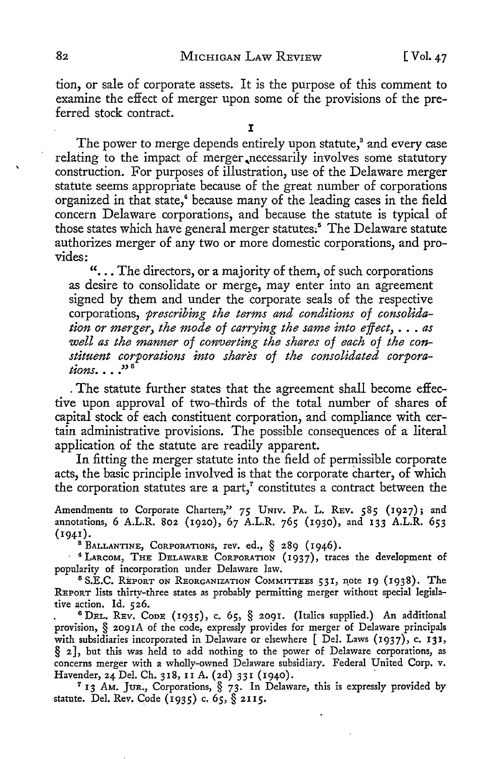tion, or sale of corporate assets. It is the purpose of this comment to examine the effect of merger upon some of the provisions of the preferred stock contract.

The power to merge depends entirely upon statute,<sup>3</sup> and every case relating to the impact of merger ,necessarily involves some statutory construction. For purposes of illustration, use of the Delaware merger statute seems appropriate because of the great number of corporations organized in that state,<sup>4</sup> because many of the leading cases in the field concern Delaware corporations, and because the statute is typical of those states which have general merger statutes.<sup>5</sup> The Delaware statute authorizes merger of any two or more domestic corporations, and provides:

"... The directors, or a majority of them, of such corporations as desire to consolidate or merge, may enter into an agreement signed by them and under the corporate seals of the respective corporations, *prescribing the terms and conditions of consolidation or merger, the mode of carrying the same into effect,* ... *as well as the manner of converting the shares of each of the constituent corporations into shares of the consolidated corpora-*<br>tions...."<sup>6</sup>

. The statute further states that the agreement shall become effective upon approval of two-thirds of the total number of shares **of**  capital stock of each constituent corporation, and compliance with certain administrative provisions. The possible consequences of a literal application of the statute are readily apparent.

In fitting the merger statute into the field of permissible corporate acts, the basic principle involved is that the corporate charter, of which the corporation statutes are a part, $\alpha$ <sup>7</sup> constitutes a contract between the

Amendments to Corporate Charters," 75 UNIV. PA. L. REV. 585 (1927); and annotations, 6 A.L.R. 802 (1920), 67 A.L.R. 765 (1930), and 133 A.L.R. 653 (1941).

 $^8$  Ballantine, Corporations, rev. ed.,  $\frac{8}{3}$  289 (1946).

· <sup>4</sup>LARCOM, THE DELAWARE CORPORATION (1937), traces the development of popularity of incorporation under Delaware law.<br><sup>5</sup> S.E.C. REPORT ON REORGANIZATION COMMITTEES 531, note 19 (1938). The

REPORT lists thirty-three states as probably permitting merger without special legislative action. Id. 526.

<sup>6</sup> DEL. REV. CODE (1935), c. 65, § 2091. (Italics supplied.) An additional provision, § 2091A of the code, expressly provides for merger of Delaware principals with subsidiaries incorporated in Delaware or elsewhere [ Del. Laws (1937), c. **131,**  § 2], but this was held to add nothing to the power of Delaware corporations, as concerns merger with a wholly-owned Delaware subsidiary. Federal United Corp. v. Havender, 24 Del. Ch. 318, II A. (2d) 331 (1940).

<sup>7</sup> 13 AM. JUR., Corporations, § 73. In Delaware, this is expressly provided by statute. Del. Rev. Code (1935) c. 65, § 2II5.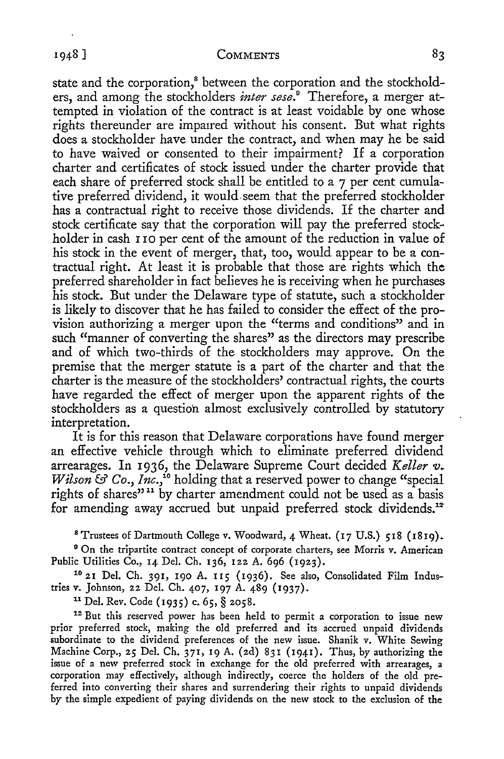state and the corporation,<sup>8</sup> between the corporation and the stockholders, and among the stockholders *inter sese.9* Therefore, a merger attempted in violation of the contract is at least voidable by one whose rights thereunder are impaired without his consent. But what rights does a stockholder have under the contract, and when may he be said to have waived or consented to their impairment? If a corporation charter and certificates of stock issued under the charter provide that each share of preferred stock shall be entitled to a 7 per cent cumulative preferred dividend, it would seem that the preferred stockholder has a contractual right to receive those dividends. If the charter and stock certificate say that the corporation will pay the preferred stockholder in cash I 10 per cent of the amount of the reduction in value of his stock in the event of merger, that, too, would appear to be a contractual right. At least it is probable that those are rights which the preferred shareholder in fact believes he is receiving when he purchases his stock. But under the Delaware type of statute, such a stockholder is likely to discover that he has failed to consider the effect of the provision authorizing a merger upon the "terms and conditions" and in such "manner of converting the shares" as the directors may prescribe and of which two-thirds of the stockholders may approve. On the premise that the merger statute is a part of the charter and that the charter is the measure of the stockholders' contractual rights, the courts have regarded the effect of merger upon the apparent rights of the stockholders as a question almost exclusively controlled by statutory interpretation.

It is for this reason that Delaware corporations have found merger an effective vehicle through which to eliminate preferred dividend arrearages. In 1936, the Delaware Supreme Court decided *Keller v. Wilson* & *Co., Inc.*,<sup>16</sup> holding that a reserved power to change "special rights of shares"<sup>11</sup> by charter amendment could not be used as a basis for amending away accrued but unpaid preferred stock dividends.<sup>12</sup>

8 Trustees of Dartmouth College v. Woodward, 4 Wheat. (17 U.S.) 518 (1819).

<sup>9</sup> On the tripartite contract concept of corporate charters, see Morris v. American Public Utilities Co., 14 Del. Ch. 136, 122 A. 696 (1923).

<sup>10</sup> 21 Del. Ch. 391, 190 A. 115 (1936). See also, Consolidated Film Industries v. Johnson, 22 Del. Ch. 407, 197 A. 489 (1937).

<sup>11</sup> Del. Rev. Code (1935) c. 65, § 2058.<br><sup>12</sup> But this reserved power has been held to permit a corporation to issue new prior preferred stock, making the old preferred and its accrued unpaid dividends subordinate to the dividend preferences of the new issue. Shanik v. White Sewing Machine Corp., *25* Del. Ch. 371, 19 A. (2d) 831 (1941). Thus, by authorizing the issue of a new preferred stock in exchange for the old preferred with arrearages, a corporation may effectively, although indirectly, coerce the holders of the old preferred into converting their shares and surrendering their rights to unpaid dividends by the simple expedient of paying dividends on the new stock to the exclusion of the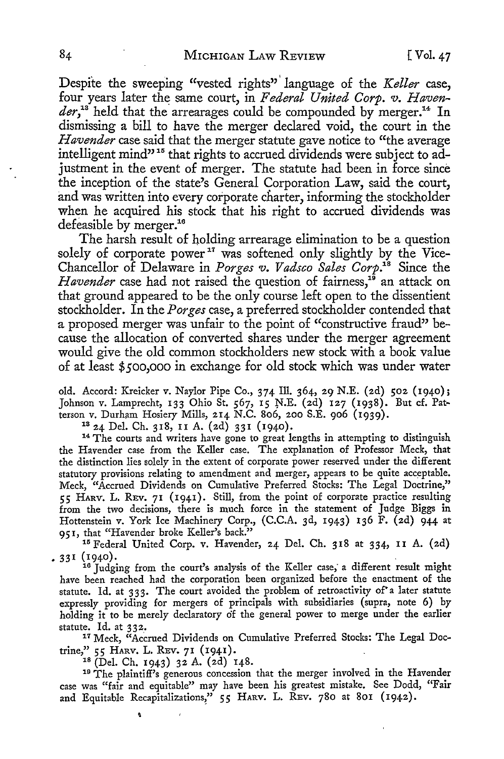Despite the sweeping "vested rights"' language of the *Keller* case, four years later the same court, in *Federal United Corp. v. Haven*der,<sup>13</sup> held that the arrearages could be compounded by merger.<sup>14</sup> In dismissing a bill to have the merger declared void, the court in the *Havender* case said that the merger statute gave notice to "the average intelligent mind"<sup>15</sup> that rights to accrued dividends were subject to adjustment in the event of merger. The statute had been in force since the inception of the state's General Corporation Law, said the court, and was written into every corporate charter, informing the stockholder when he acquired his stock that his right to accrued dividends was defeasible by merger.<sup>16</sup>

The harsh result of holding arrearage elimination to be a question solely of corporate power<sup>17</sup> was softened only slightly by the Vice-Chancellor of Delaware in *Porges v. Vadsco Sales Corp.18* Since the Havender case had not raised the question of fairness,<sup>16</sup> an attack on that ground appeared to be the only course left open to the dissentient stockholder. In the *Porges* case, a preferred stockholder contended that a proposed merger was unfair to the point of "constructive fraud" because the allocation of converted shares under the merger agreement would give the old common stockholders new stock with a book value of at least \$500,000 in exchange for old stock which was under water

old. Accord: Kreicker v. Naylor Pipe Co., 374 Ill. 364, 29 N.E. (2d) 502 (1940); Johnson v. Lamprecht, 133 Ohio St. 567, 15 N.E. (2d) 127 (1938). But cf. Pat-<br>terson v. Durham Hosiery Mills, 214 N.C. 806, 200 S.E. 906 (1939).

<sup>13</sup> 24 Del. Ch. 318, 11 A. (2d) 331 (1940). <sup>14</sup> The courts and writers have gone to great lengths in attempting to distinguish the Havender case from the Keller case. The explanation of Professor Meck, that the distinction lies solely in the extent of corporate power reserved under the different statutory provisions relating to amendment and merger, appears to be quite acceptable. Meck, "Accrued Dividends on Cumulative Preferred Stocks: The Legal Doctrine," *5 5* HARV. L. REv. 71 ( I 941). Still, from the point of corporate practice resulting from the two decisions, there is much force in the statement of Judge Biggs **in**  Hottenstein v. York Ice Machinery Corp., (C.C.A. 3d, 1943) 136 F. (2d) 944 at 951, that "Havender broke Keller's back."

<sup>15</sup> Federal United Corp. v. Havender, 24 Del. Ch. 318 at 334, II A. (2d)

• 3 3 I ( I 940) • . 16 Judging from the court's analysis of the Keller case; a different result might have been reached had the corporation been organized before the enactment of the statute. Id. at 333. The court avoided the problem of retroactivity of'a later statute expressly providing for mergers of principals with subsidiaries (supra, note 6) by holding it to be merely declaratory of the general power to merge under the earlier

statute. Id. at 332.<br><sup>17</sup> Meck, "Accrued Dividends on Cumulative Preferred Stocks: The Legal Doctrine," 55 HARV. L. REV. 71 (1941).<br><sup>18</sup> (Del. Ch. 1943) 32 A. (2d) 148.<br><sup>19</sup> The plaintiff's generous concession that the merger involved in the Havender

case was "fair and equitable" may have been his greatest mistake. See Dodd, "Fair and Equitable Recapitalizations," 55 HARV. L. REV. 780 at 801 (1942).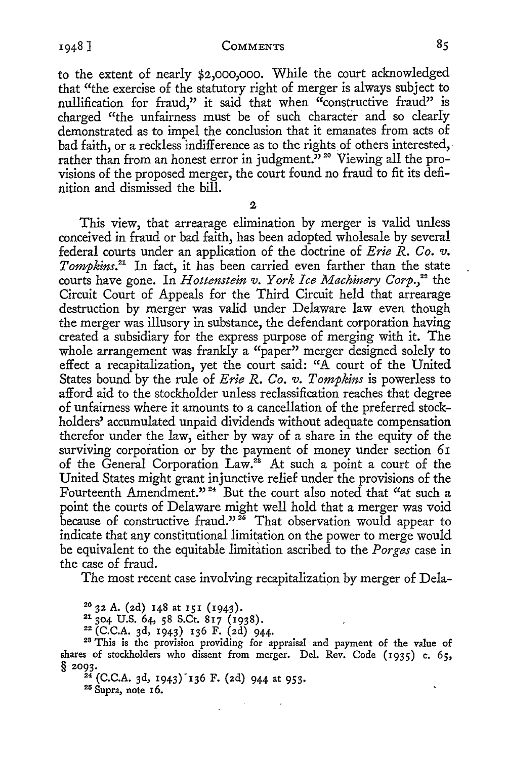to the extent of nearly \$2,000,000. While the court acknowledged that "the exercise of the statutory right of merger is always subject to nullification for fraud," it said that when "constructive fraud" is charged "the unfairness must be of such character and so clearly demonstrated as to impel the conclusion that it emanates from acts of bad faith, or a reckless indifference as to the rights of others interested, rather than from an honest error in judgment."<sup>20</sup> Viewing all the provisions of the proposed merger, the court found no fraud to fit its definition and dismissed the bill.

 $\overline{2}$ 

This view, that arrearage elimination by merger is valid unless conceived in fraud or bad faith, has been adopted wholesale by several federal courts under an application of the doctrine of *Erie R. Co. v. Tompkins. <sup>21</sup>*In fact, it has been carried even farther than the state courts have gone. In *Hottenstein v. York Ice Machinery Corp.*<sup>22</sup> the Circuit Court of Appeals for the Third Circuit held that arrearage destruction by merger was valid under Delaware law even though the merger was illusory in substance, the defendant corporation having created a subsidiary for the express purpose of merging with it. The whole arrangement was frankly a "paper" merger designed solely to effect a recapitalization, yet the court said: "A court of the United States bound by the rule of *Erie R. Co. v. Tompkins* is powerless to afford aid to the stockholder unless reclassification reaches that degree of unfairness where it amounts to a cancellation of the preferred stockholders' accumulated unpaid dividends without adequate compensation therefor under the law, either by way of a share in the equity of the surviving corporation or by the payment of money under section 61 of the General Corporation Law.<sup>28</sup> At such a point a court of the United States might grant injunctive relief under the provisions of the Fourteenth Amendment."<sup>24</sup> But the court also noted that "at such a point the courts of Delaware might well hold that a merger was void because of constructive fraud."<sup>25</sup> That observation would appear to indicate that any constitutional limitation on the power to merge would be equivalent to the equitable limitation ascribed to the *Porges* case in the case of fraud.

The most recent case involving recapitalization by merger of Dela-

<sup>20</sup> 32 A. (2d) 148 at 151 (1943).<br><sup>21</sup> 304 U.S. 64, 58 S.Ct. 817 (1938).<br><sup>22</sup> (C.C.A. 3d, 1943) 136 F. (2d) 944.<br><sup>23</sup> This is the provision providing for appraisal and payment of the value of shares of stockholders who dissent from merger. Del. Rev. Code (1935) c. 65, § 2093.<br><sup>24</sup> (C.C.A. 3d, 1943) 136 F. (2d) 944 at 953.<br><sup>25</sup> Supra, note 16.

1948]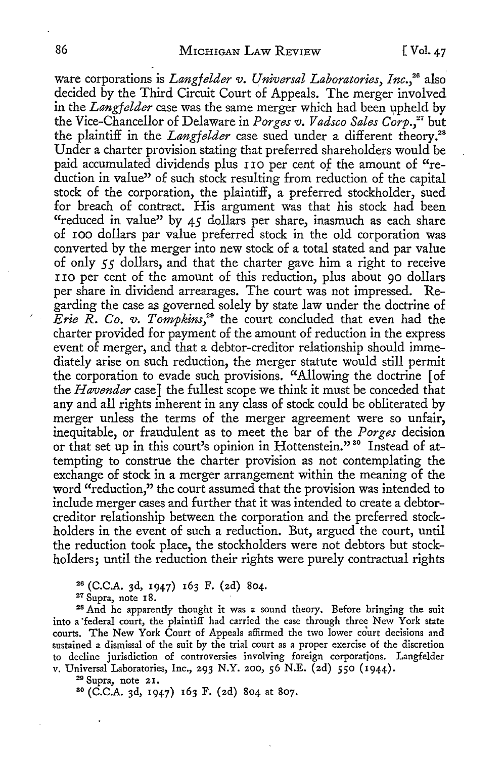ware corporations is *Langfelder v. Universal Laboratories, Inc.*<sup>26</sup> also decided by the Third Circuit Court of Appeals. The merger involved in the *Langfelder* case was the same merger which had been upheld by the Vice-Chancellor of Delaware in *Porges v. Vadsco Sales Corp./'* but the plaintiff in the *Langfelder* case sued under a different theory.<sup>28</sup> Under a charter provision stating that preferred shareholders would be paid accumulated dividends plus I IO per cent of the amount of "reduction in value" of such stock resulting from reduction of the capital stock of the corporation, the plaintiff, a preferred stockholder, sued for breach of contract. His argument was that his stock had been "reduced in value" by  $45$  dollars per share, inasmuch as each share of IOO dollars par value preferred stock in the old corporation was converted by the merger into new stock of a total stated and par value of only *5 5* dollars, and that the charter gave him a right to receive r IO per cent of the amount of this reduction, plus about 90 dollars per share in dividend arrearages. The court was not impressed. Regarding the case as governed solely by state law under the doctrine of *Erie R. Co. v. Tompkins,2°* the court concluded that even had the charter provided for payment of the amount of reduction in the express event of merger, and that a debtor-creditor relationship should immediately arise on such reduction, the merger statute would still permit the corporation to evade such provisions. "Allowing the doctrine [ of the *Havender* case] the fullest scope we think it must be conceded that any and all rights inherent in any class of stock could be obliterated by merger unless the terms of the merger agreement were so unfair, inequitable, or fraudulent as to meet the bar of the *Porges* decision or that set up in this court's opinion in Hottenstein."<sup>30</sup> Instead of attempting to construe the charter provision as not contemplating the exchange of stock in a merger arrangement within the meaning of the word "reduction," the court assumed that the provision was intended to include merger cases and further that it was intended to create a debtorcreditor relationship between the corporation and the preferred stockholders in the event of such a reduction. But, argued the court, until the reduction took place, the stockholders were not debtors but stockholders; until the reduction their rights were purely contractual rights

<sup>26</sup> (C.C.A. 3d, 1947) 163 F. (2d) 804.<br><sup>27</sup> Supra, note 18.

<sup>28</sup> And he apparently thought it was a sound theory. Before bringing the suit into a federal court, the plaintiff had carried the case through three New York state courts. The New York Court of Appeals affirmed the two lower court decisions and sustained a dismissal of the suit by the trial court as a proper exercise of the discretion to decline jurisdiction of controversies involving foreign corporations. Langfelder v. Universal Laboratories, Inc., 293 N.Y. 200, 56 N.E. (2d) 550 (1944).

<sup>29</sup> Supra, note 21.

so (C.C.A. 3d, 1947) 163 F. (2d) 804 at 807.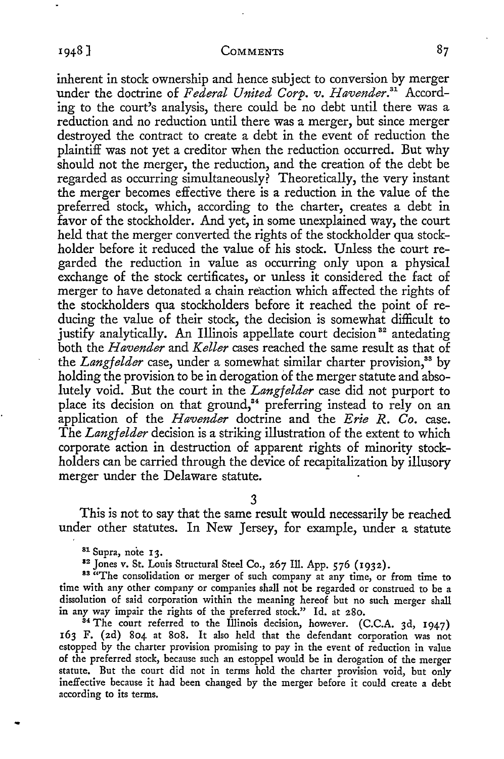inherent in stock ownership and hence subject to conversion by merger under the doctrine of *Federal United Corp. v. Havender*.<sup>31</sup> According to the court's analysis, there could be no debt until there was a reduction and no reduction until there was a merger, but since merger destroyed the contract to create a debt in the event of reduction the plaintiff was not yet a creditor when the reduction occurred. But why should not the merger, the reduction, and the creation of the debt be regarded as occurring simultaneously? Theoretically, the very instant the merger becomes effective there is a reduction in the value of the preferred stock, which, according to the charter, creates a debt in favor of the stockholder. And yet, in some unexplained way, the court held that the merger converted the rights of the stockholder qua stockholder before it reduced the value of his stock. Unless the court regarded the reduction in value as occurring only upon a physical exchange of the stock certificates, or unless it considered the fact of merger to have detonated a chain reaction which affected the rights of the stockholders qua stockholders before it reached the point of reducing the value of their stock, the decision is somewhat difficult to justify analytically. An Illinois appellate court decision<sup>32</sup> antedating both the *Havender* and *Keller* cases reached the same result as that of the *Langfelder* case, under a somewhat similar charter provision,<sup>33</sup> by holding the provision to be in derogation of the merger statute and absolutely void. But the court in the *Langfelder* case did not purport to place its decision on that ground,<sup>34</sup> preferring instead to rely on an application of the *Havender* doctrine and the *Erie R. Co.* case. The *Langfelder* decision is a striking illustration of the extent to which corporate action in destruction of apparent rights of minority stockholders can be carried through the device of recapitalization by illusory merger under the Delaware statute.

3

This is not to say that the same result would necessarily be reached under other statutes. In New Jersey, for example, under a statute

<sup>81</sup> Supra, note 13.<br><sup>82</sup> Jones v. St. Louis Structural Steel Co., 267 Ill. App. 576 (1932).<br><sup>83</sup> "The consolidation or merger of such company at any time, or from time to time with any other company or companies shall not be regarded or construed to be a dissolution of said corporation within the meaning hereof but no such merger shall in any way impair the rights of the preferred stock." Id. at 280.

<sup>34</sup> The court referred to the Illinois decision, however. (C.C.A. 3d, 1947) 163 F. (2d) 804 at 808. It also held that the defendant corporation was not estopped by the charter provision promising to pay in the event of reduction in value of the preferred stock, because such an estoppel would be in derogation of the merger statute. But the court did not in terms hold the charter provision void, but only ineffective because it had been changed by the merger before it could create a debt according to its terms.

1948 ]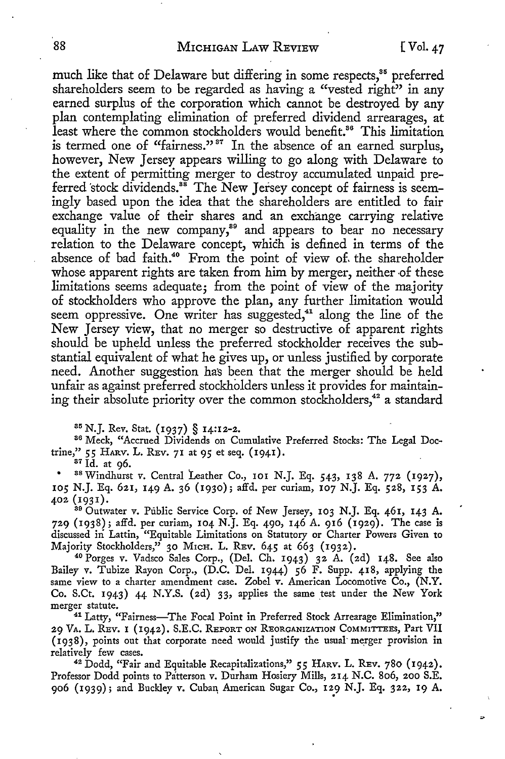Ь

much like that of Delaware but differing in some respects,<sup>85</sup> preferred shareholders seem to be regarded as having a "vested right" in any earned surplus of the corporation which cannot be destroyed by any plan contemplating elimination of preferred dividend arrearages, at least where the common stockholders would benefit.<sup>86</sup> This limitation is termed one of "fairness."<sup>37</sup> In the absence of an earned surplus, however, New Jersey appears willing to go along with Delaware to the extent of permitting merger to destroy accumulated unpaid preferred stock dividends.<sup>88</sup> The New Jersey concept of fairness is seemingly based upon the idea that the shareholders are entitled to fair exchange value of their shares and an exchange carrying relative equality in the new company,<sup>39</sup> and appears to bear no necessary relation to the Delaware concept, which is defined in terms of the absence of bad faith.<sup>40</sup> From the point of view of the shareholder whose apparent rights are taken from him by merger, neither of these limitations seems adequate; from the point of view of the majority of stockholders who approve the plan, any further limitation would seem oppressive. One writer has suggested,<sup>41</sup> along the line of the New Jersey view, that no merger so destructive of apparent rights should be upheld unless the preferred stockholder receives the substantial equivalent of what he gives up, or unless justified by corporate need. Another suggestion has been that the merger should be held unfair as against preferred stockholders unless it provides for maintaining their absolute priority over the common stockholders,<sup>42</sup> a standard

<sup>85</sup> N.J. Rev. Stat. (1937) § 14:12-2.<br><sup>86</sup> Meck, "Accrued Dividends on Cumulative Preferred Stocks: The Legal Doctrine," *55* HARV. L. REv. 71 at 95 et seq. (1941). 37 Id. at 96.

88 Windhurst v. Central Leather Co., 101 N.J. Eq. 543, 138 A. 772 (1927), 105 N.J. Eq. 621, 149 A. 36 (1930); affd. per curiam, 107 N.J. Eq. 528, 153 A. 402 (1931).

89 Outwater *v.* Public Service Corp. of New Jersey, 103 N.J. Eq. 461, 143 A. 729 (1938); affd. per curiam, 104 N.J. Eq. 490, 146 A. 916 (1929). The case is discussed in Lattin, "Equitable Limitations on Statutory or Charter Powers Given to Majority Stockholders," 30 Mich. L. REv. 645 at 663 (1932).

Majority Stockholders," 30 MICH. L. REv. 645 at 663 (1932). 40 Porges *v.* Vadsco Sales Corp., (Del. Ch. 1943) 32 A. (2d) 148. See also Bailey *v.* Tubize Rayon Corp., (D.C. Del. 1944) 56 F. Supp. 418, applying the same view to a charter amendment case. Zobel *v.* American Locomotive Co., (N.Y. Co. S.Ct. 1943) 44 N.Y.S. (2d) 33, applies the same test under the New York merger statute.

<sup>41</sup> Latty, "Fairness-The Focal Point in Preferred Stock Arrearage Elimination," 29 VA. L. REv. I (1942). S.E.C. REPORT ON REORGANIZATION COMMITTEES, Part VII (1938), points out that corporate need would justify the usual merger provision in

relatively few cases. 42 Dodd, "Fair and Equitable Recapitalizations," *55* HARV. L. REv. 780 (1942). Professor Dodd points to Patterson *v.* Durham Hosiery Mills, 214 N.C. 806, 200 S.E. 906 (1939); and Buckley v. Cuban American Sugar Co., 129 N.J. Eq. 322, 19 A.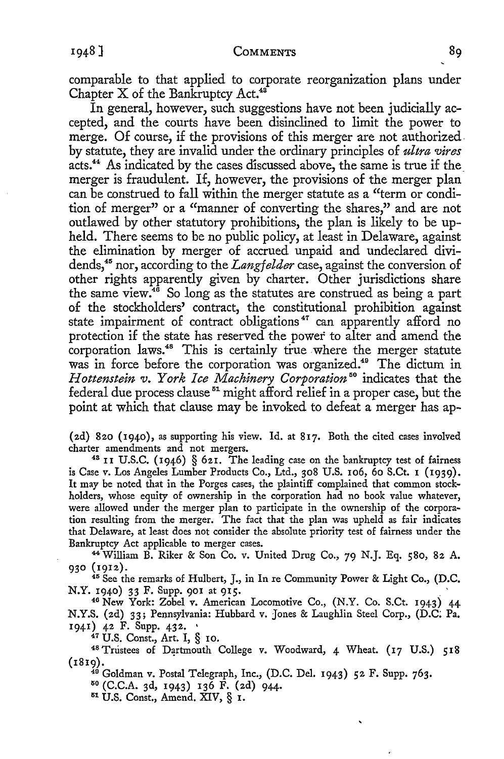comparable to that applied to corporate reorganization plans under Chapter X of the Bankruptcy Act.<sup>43</sup>

In general, however, such suggestions have not been judicially accepted, and the courts have been disinclined to limit the power to merge. Of course, if the provisions of this merger are not authorized. by statute, they are invalid under the ordinary principles of *ultra vires*  acts.<sup>44</sup> As indicated by the cases discussed above, the same is true if the merger is fraudulent. If, however, the provisions of the merger plan can be construed to fall within the merger statute as a "term or condition of merger" or a "manner of converting the shares," and are not outlawed by other statutory prohibitions, the plan is likely to be upheld. There seems to be no public policy, at least in Delaware, against the elimination by merger of accrued unpaid and undeclared dividends,45 nor, according to the *Lang/elder* case, against the conversion of other rights apparently given by charter. Other jurisdictions share the same view.46 So long as the statutes are construed as being a part of the stockholders' contract, the constitutional prohibition against state impairment of contract obligations<sup>47</sup> can apparently afford no protection if the state has reserved the power to alter and amend the corporation laws.<sup>48</sup> This is certainly true where the merger statute was in force before the corporation was organized.<sup>49</sup> The dictum in *Hottenstein v. York Ice Machinery Corporation <sup>50</sup>*indicates that the federal due process clause  $51$  might afford relief in a proper case, but the point at which that clause may be invoked to defeat a merger has ap-

(2d) 820 (1940), as supporting his view. Id. at 817. Both the cited cases involved

<sup>43</sup> II U.S.C. (1946) § 621. The leading case on the bankruptcy test of fairness is Case v. Los Angeles Lumber Products Co., Ltd., 308 U.S. 106, 60 S.Ct. 1 (1939). It may be noted that in the Forges cases, the plaintiff complained that common stockholders, whose equity of ownership in the corporation had no book value whatever, were allowed under the merger plan to participate in the ownership of the corporation resulting from the merger. The fact that the plan was upheld as fair indicates that Delaware, at least does not consider the absolute priority test of fairness under the Bankruptcy Act applicable to merger cases.

<sup>44</sup>William B. Riker & Son Co. v. United Drug Co., 79 N.J. Eq. 580, 82 A. 930 (1912). 45 See the remarks of Hulbert, J., in In re Community Power & Light Co., (D.C.

N.Y. 1940) 33 F. Supp. 901 at 915.

<sup>46</sup> New York: Zobel v. American Locomotive Co., (N.Y. Co. S.Ct. 1943) 44 N.Y.S. (2d) 33; Pennsylvania: Hubbard v. Jones & Laughlin Steel Corp., (D.C; Pa. 1941) 42 F. Supp. 432. •<br><sup>47</sup> U.S. Const., Art. I, § 10.<br><sup>48</sup> Trustees of Dartmouth College v. Woodward, 4 Wheat. (17 U.S.) 518

(1819). 49 Goldman v. Postal Telegraph, Inc., (D.C. Del. 1943) 52 F. Supp. 763.

 $50$  (C.C.A. 3d, 1943) 136 F. (2d) 944.<br> $51$  U.S. Const., Amend. XIV, § 1.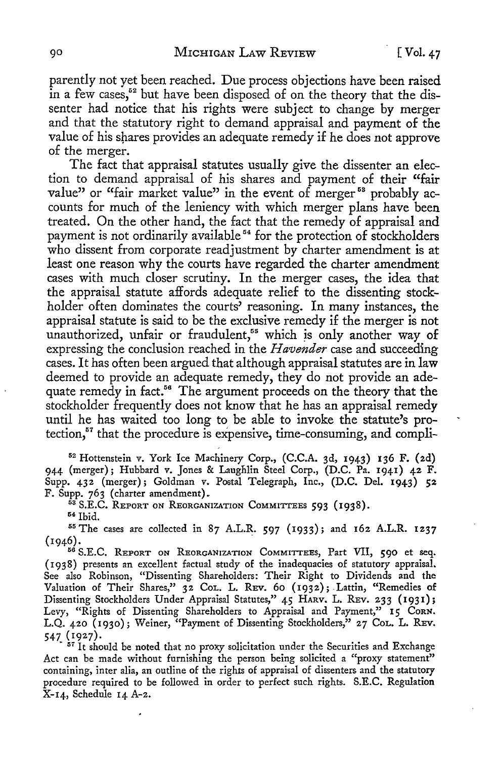parently not yet been reached. Due process objections have been raised in a few cases,<sup>52</sup> but have been disposed of on the theory that the dissenter had notice that his rights were subject to change by merger and that the statutory right to demand appraisal and payment of the value of his shares provides an adequate remedy if he does not approve of the merger.

The fact that appraisal statutes usually give the dissenter an election to demand appraisal of his shares and payment of their "fair value" or "fair market value" in the event of merger<sup>58</sup> probably accounts for much of the leniency with which merger plans have been treated. On the other hand, the fact that the remedy of appraisal and payment is not ordinarily available 54 for the protection of stockholders who dissent from corporate readjustment by charter amendment is at least one reason why the courts have regarded the charter amendment cases with much closer scrutiny. In the merger cases, the idea that the appraisal statute affords adequate relief to the dissenting stockholder often dominates the courts' reasoning. In many instances, the appraisal statute is said to be the exclusive remedy if the merger is not unauthorized, unfair or fraudulent,<sup>55</sup> which is only another way of expressing the conclusion reached in the *Havender* case and succeeding cases. It has often been argued that although appraisal statutes are in law deemed to provide an adequate remedy, they do not provide an adequate remedy in fact.<sup>56</sup> The argument proceeds on the theory that the stockholder frequently does not know that he has an appraisal remedy until he has waited too long to be able to invoke the statute's protection, $^{57}$  that the procedure is expensive, time-consuming, and compli-

<sup>52</sup> Hottenstein v. York Ice Machinery Corp., (C.C.A. 3d, 1943) 136 F. (2d) 944 (merger}; Hubbard v. Jones & Laughlin Steel Corp., (D.C. Pa. 1941) 42 F. Supp. 432 (merger); Goldman v. Postal Telegraph, Inc., (D.C. Del. 1943) 52

F. Supp. 763 (charter amendment).<br><sup>53</sup> S.E.C. REPORT ON REORGANIZATION COMMITTEES 593 (1938).<br><sup>54</sup> Ibid. <sup>55</sup> The cases are collected in 87 A.L.R. 597 (1933); and 162 A.L.R. 1237

(1946). 56 S.E.C. REPORT ON REORGANIZATION COMMITTEES, Part VII, 590 et seq.

( 1938} presents an excellent factual study of the inadequacies of statutory appraisal. See also Robinson, "Dissenting Shareholders: Their Right to Dividends and the Valuation of Their Shares,"  $32$  CoL. L. REv. 60 (1932); Lattin, "Remedies of Dissenting Stockholders Under Appraisal Statutes," 45 HARV, L. REV. 233 (1931); Levy, "Rights of Dissenting Shareholders to Appraisal and Payment," 15 CORN. L.Q. 420 (1930}; Weiner, "Payment of Dissenting Stockholders," 27 CoL. L. REv. 547 (1927).

<sup>57</sup> It should be noted that no proxy solicitation under the Securities and Exchange Act can be made without furnishing the person being solicited a "proxy statement" containing, inter alia, an outline of the rights of appraisal of dissenters and the statutory procedure required to be followed in order to perfect such rights. S.E.C. Regulation X-14, Schedule 14 A-2.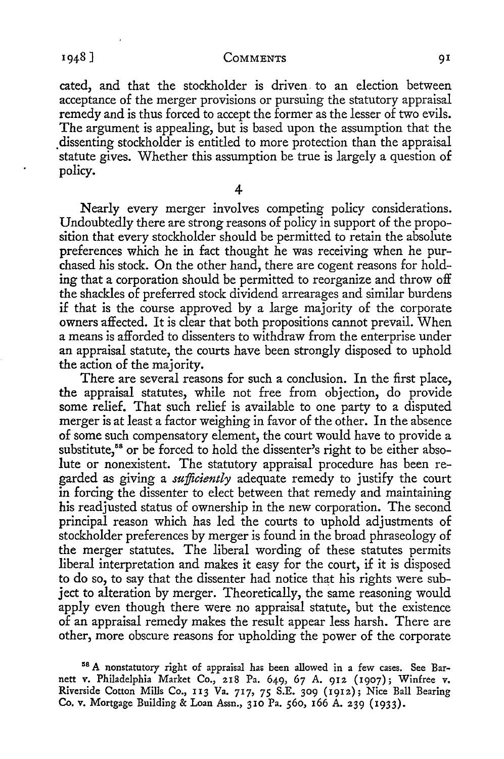cated, and that the stockholder is driven. to an election between acceptance of the merger provisions or pursuing the statutory appraisal remedy and is thus forced to accept the former as the lesser of two evils. The argument is appealing, but is based upon the assumption that the . dissenting stockholder is entitled to more protection than the appraisal statute gives. Whether this assumption be true is largely a question of policy.

4

**Nearly** every merger involves competing policy considerations. Undoubtedly there are strong reasons of policy in support of the proposition that every stockholder should be permitted to retain the absolute preferences which he in fact thought he was receiving when he purchased his stock. On the other hand, there are cogent reasons for holding that a corporation should be permitted to reorganize and throw off the shackles of preferred stock dividend arrearages and similar burdens if that is the course approved by a large majority of the corporate owners affected. It is clear that both propositions cannot prevail. When a means is afforded to dissenters to withdraw from the enterprise under an appraisal statute, the courts have been strongly disposed to uphold the action of the majority.

There are several reasons for such a conclusion. In the first place, the appraisal statutes, while not free from objection, do provide some relief. That such relief is available to one party to a disputed merger is at least a factor weighing in favor of the other. In the absence of some such compensatory element, the court would have to provide a substitute,<sup>58</sup> or be forced to hold the dissenter's right to be either absolute or nonexistent. The statutory appraisal procedure has been regarded as giving a *sufficiently* adequate remedy to justify the court in forcing the dissenter to elect between that remedy and maintaining his readjusted status of ownership in the new corporation. The second principal reason which has led the courts to uphold adjustments of stockholder preferences by merger is found in the broad phraseology of the merger statutes. The liberal wording of these statutes permits liberal interpretation and makes it easy for the court, if it is disposed to do so, to say that the dissenter had notice that his rights were subject *to* alteration by merger. Theoretically, the same reasoning would apply even though there were no appraisal statute, but the existence of an appraisal remedy makes the result appear less harsh. There are other, more obscure reasons for upholding the power of the corporate

<sup>~</sup><sup>8</sup>**A** nonstatutory right of appraisal has been allowed in a few cases. See Barnett v. Philadelphia Market Co., 218 Pa. 649, 67 A. 912 (1907); Winfree v. Riverside Cotton Mills Co., 113 Va. 717, 75 S.E. 309 (1912); Nice Ball Bearing **Co. v.** Mortgage Building & Loan Assn., 310 Pa. 560, 166 A. 239 (1933).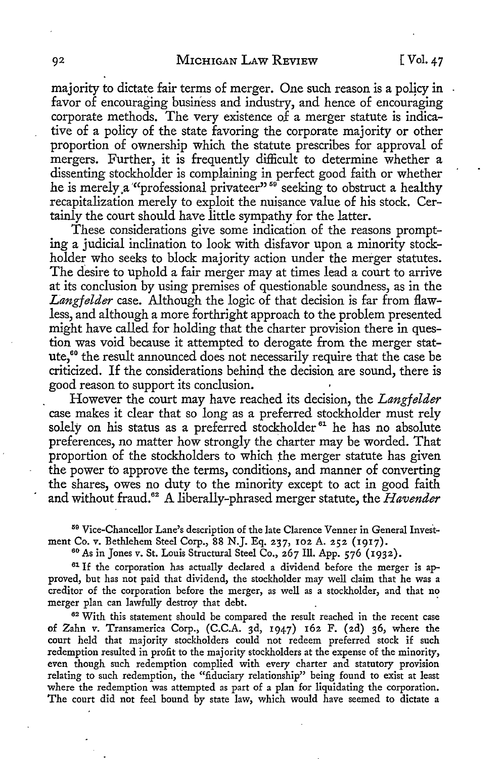majority *to* dictate fair terms of merger. One such reason is a policy in favor of encouraging business and industry, and hence of encouraging corporate methods. The very existence of a merger statute is indicative of a policy of the state favoring the corporate majority or other proportion of ownership which the statute prescribes for approval of mergers. Further, it is frequently difficult *to* determine whether a dissenting stockholder is complaining in perfect good faith or whether he is merely ,a '"professional privateer" 59 seeking *to* obstruct a healthy recapitalization merely *to* exploit the nuisance value of his stock. Certainly the court should have little sympathy for the latter.

These considerations give some indication of the reasons prompting a judicial inclination *to* look with disfavor upon a minority stockholder who seeks *to* block majority action under the merger statutes. The desire to uphold a fair merger may at times lead a court *to* arrive at its conclusion by using premises of questionable soundness, as in the *Langf elder* case. Although the logic of that decision is far from flawless, and although a more forthright approach to the problem presented might have called for holding that the charter provision there in question was void because it attempted to derogate from the merger statute,<sup>60</sup> the result announced does not necessarily require that the case be criticized. If the considerations behind the decision are sound, there is good reason *to* support its conclusion.

However the court may have reached its decision, the *Lang/elder*  case makes it clear that so long as a preferred stockholder must rely solely on his status as a preferred stockholder<sup>61</sup> he has no absolute preferences, no matter how strongly the charter may be worded. That proportion of the stockholders *to* which the merger statute has given the power to approve the terms, conditions, and manner of converting the shares, owes no duty to the minority except to act in good faith and without fraud.<sup>62</sup> A liberally-phrased merger statute, the *Havender* 

<sup>59</sup> Vice-Chancellor Lane's description of the late Clarence Venner in General Invest-<br>ment Co. v. Bethlehem Steel Corp., 88 N.J. Eq. 237, 102 A. 252 (1917).

<sup>60</sup> As in Jones v. St. Louis Structural Steel Co., 267 Ill. App. 576 (1932).<br><sup>61</sup> If the corporation has actually declared a dividend before the merger is ap-

proved, but has not paid that dividend, the stockholder may well claim that he was a creditor of the corporation before the merger, as well as a stockholder, and that no merger plan can lawfully destroy that debt.

<sup>62</sup> With this statement should be compared the result reached in the recent case of Zahn v. Transamerica Corp., (C.C.A. 3d, 1947) 162 F. (2d) 36, where the court held that majority stockholders could not redeem preferred stock if such redemption resulted in profit to the majority stockholders at the expense of the minority, even though such redemption complied with every charter and statutory provision relating to such redemption, the "fiduciary relationship" being found to exist at least where the redemption was attempted as part of a plan for liquidating the corporation. The court did not feel bound by state law, which would have seemed to dictate a